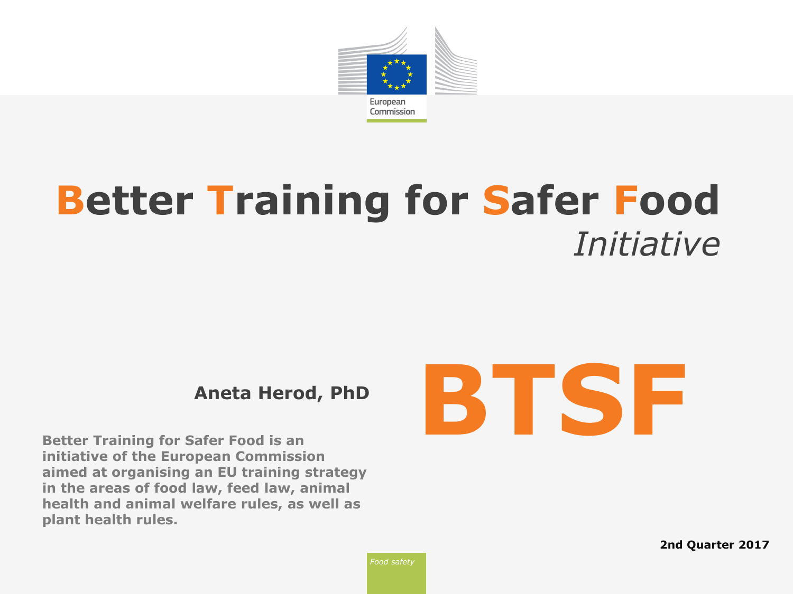

# **Better Training for Safer Food** *Initiative*

**Better Training for Safer Food is an initiative of the European Commission aimed at organising an EU training strategy in the areas of food law, feed law, animal health and animal welfare rules, as well as plant health rules.**



**2nd Quarter 2017**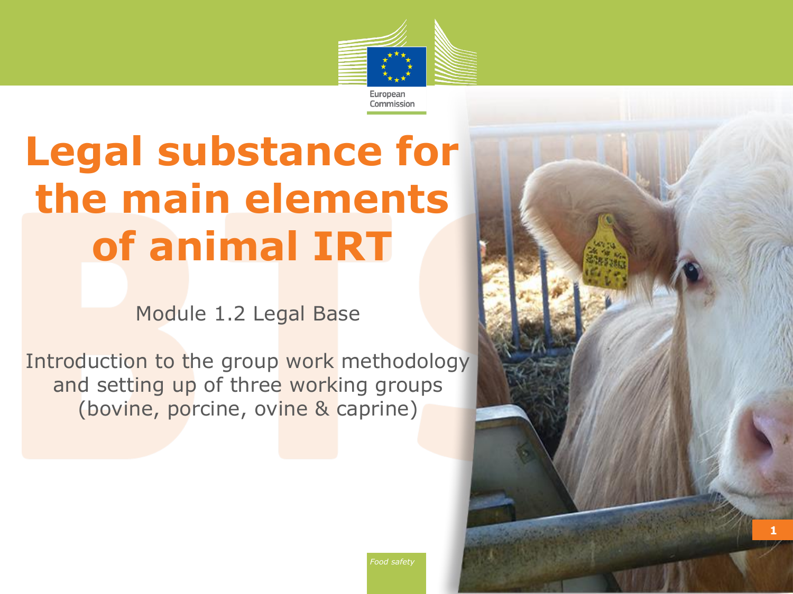

# **Legal substance for the main elements of animal IRT**

Module 1.2 Legal Base

Introduction to the group work methodology and setting up of three working groups (bovine, porcine, ovine & caprine)



*Food safety*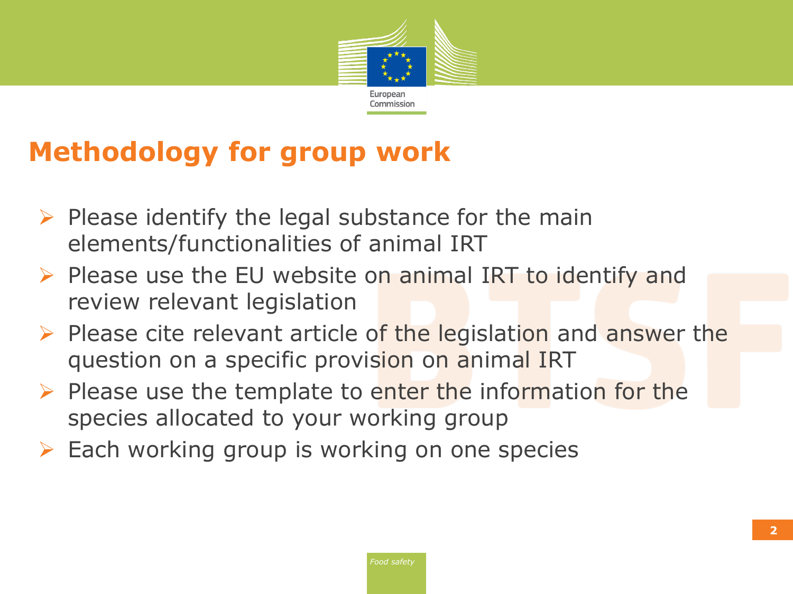

#### **Methodology for group work**

- $\triangleright$  Please identify the legal substance for the main elements/functionalities of animal IRT
- $\triangleright$  Please use the EU website on animal IRT to identify and review relevant legislation
- $\triangleright$  Please cite relevant article of the legislation and answer the question on a specific provision on animal IRT
- $\triangleright$  Please use the template to enter the information for the species allocated to your working group
- $\triangleright$  Each working group is working on one species

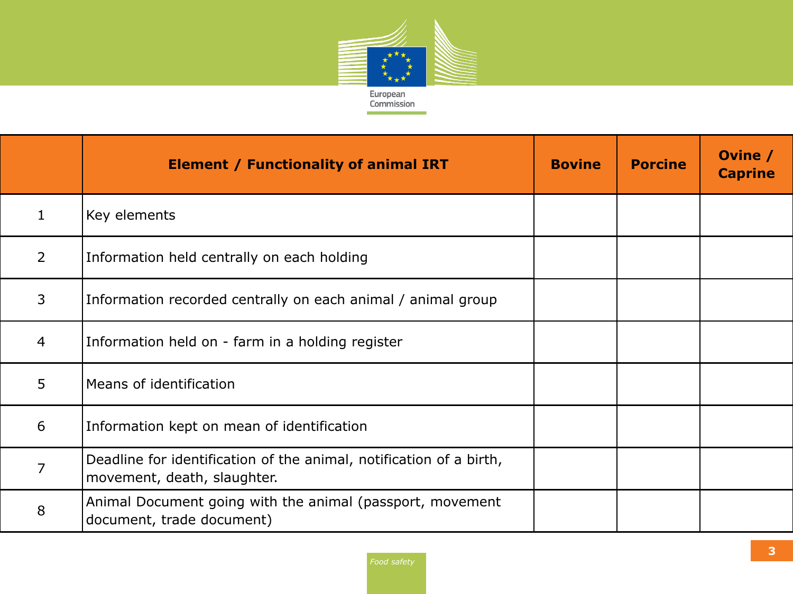

|                | <b>Element / Functionality of animal IRT</b>                                                       | <b>Bovine</b> | <b>Porcine</b> | Ovine /<br><b>Caprine</b> |
|----------------|----------------------------------------------------------------------------------------------------|---------------|----------------|---------------------------|
| $\mathbf{1}$   | Key elements                                                                                       |               |                |                           |
| 2              | Information held centrally on each holding                                                         |               |                |                           |
| 3              | Information recorded centrally on each animal / animal group                                       |               |                |                           |
| $\overline{4}$ | Information held on - farm in a holding register                                                   |               |                |                           |
| 5              | Means of identification                                                                            |               |                |                           |
| 6              | Information kept on mean of identification                                                         |               |                |                           |
| 7              | Deadline for identification of the animal, notification of a birth,<br>movement, death, slaughter. |               |                |                           |
| 8              | Animal Document going with the animal (passport, movement<br>document, trade document)             |               |                |                           |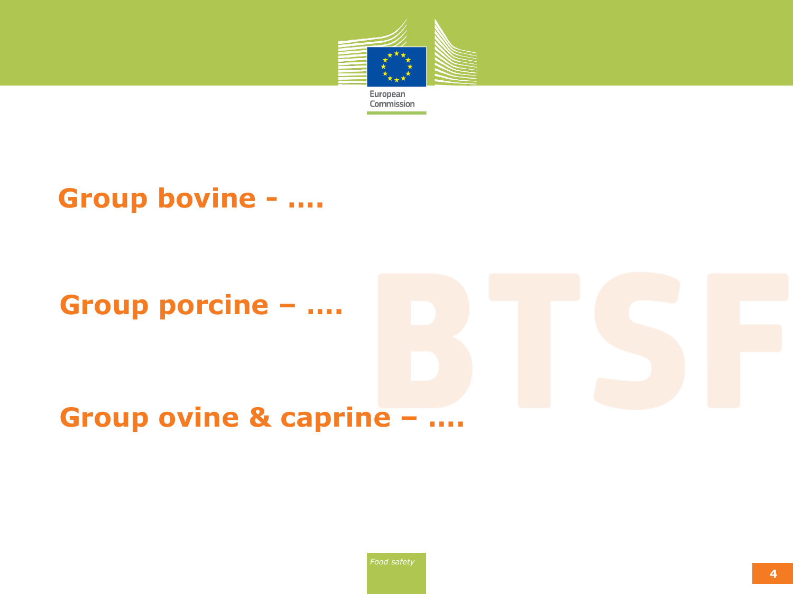

#### **Group bovine - ….**

#### **Group porcine – ….**

### **Group ovine & caprine – ….**

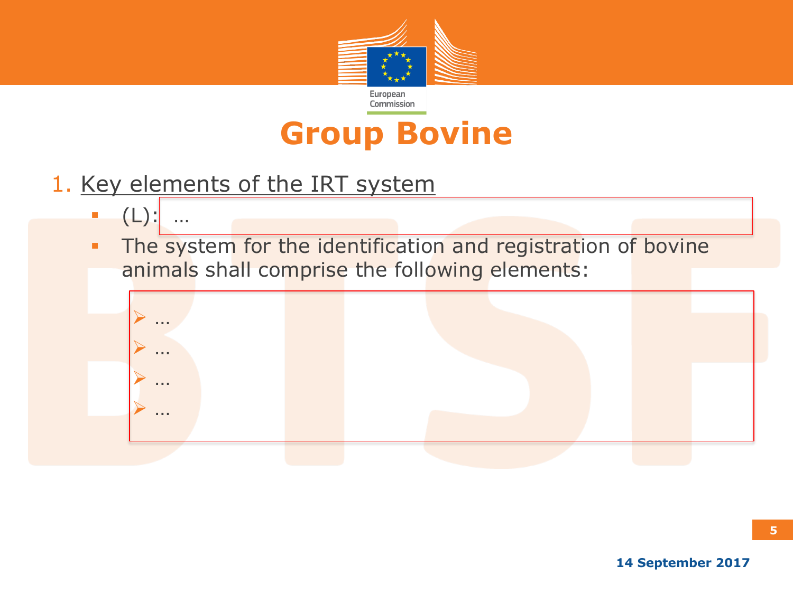

## **Group Bovine**

- 1. Key elements of the IRT system
	- $(L)$ :
	- The system for the identification and registration of bovine animals shall comprise the following elements:



**5**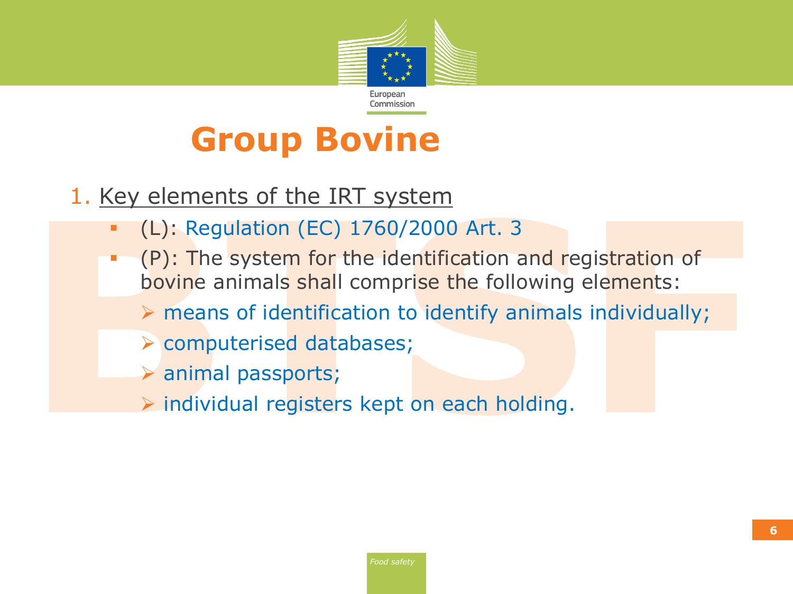

# **Group Bovine**

- 1. Key elements of the IRT system
	- (L): Regulation (EC) 1760/2000 Art. 3
	- (P): The system for the identification and registration of bovine animals shall comprise the following elements:  $\triangleright$  means of identification to identify animals individually;
		- computerised databases;
			- animal passports;
			- $\triangleright$  individual registers kept on each holding.

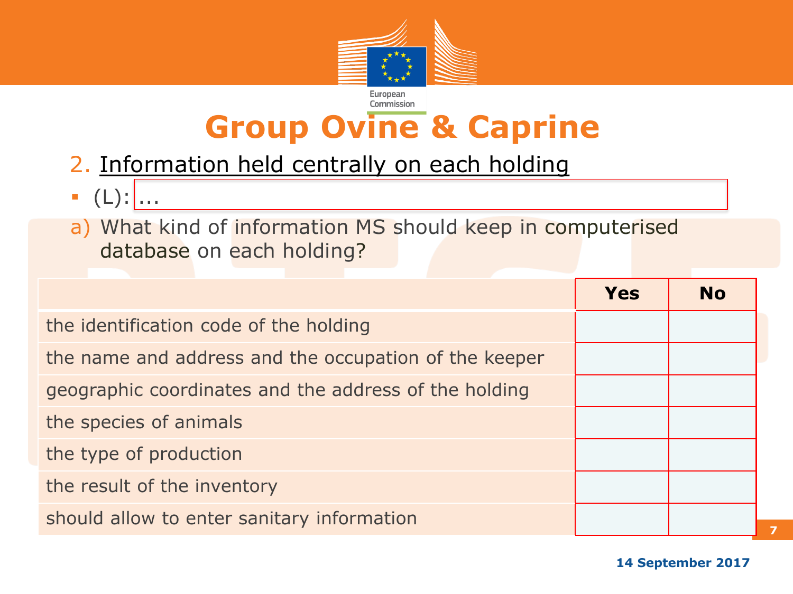

## **Group Ovine & Caprine**

- 2. Information held centrally on each holding
- $\bullet$  (L):  $\ldots$
- a) What kind of information MS should keep in computerised database on each holding?

|                                                       | Yes | <b>No</b> |
|-------------------------------------------------------|-----|-----------|
| the identification code of the holding                |     |           |
| the name and address and the occupation of the keeper |     |           |
| geographic coordinates and the address of the holding |     |           |
| the species of animals                                |     |           |
| the type of production                                |     |           |
| the result of the inventory                           |     |           |
| should allow to enter sanitary information            |     |           |

**7**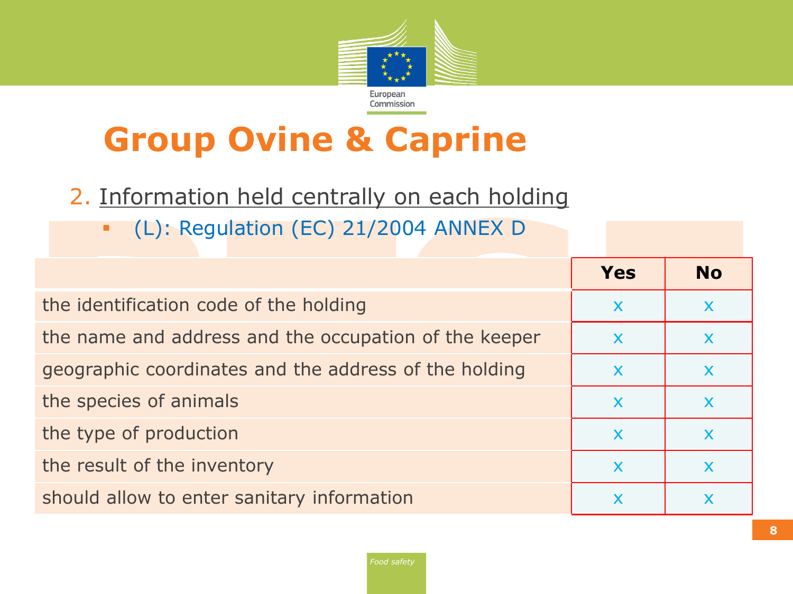

# **Group Ovine & Caprine**

- 2. Information held centrally on each holding
	- (L): Regulation (EC) 21/2004 ANNEX D

|                                                       | <b>Yes</b>                | <b>No</b>                 |
|-------------------------------------------------------|---------------------------|---------------------------|
| the identification code of the holding                |                           | X                         |
| the name and address and the occupation of the keeper |                           | $\boldsymbol{\mathsf{X}}$ |
| geographic coordinates and the address of the holding |                           | X                         |
| the species of animals                                | X                         |                           |
| the type of production                                | $\boldsymbol{\mathsf{X}}$ | $\mathbf x$               |
| the result of the inventory                           |                           |                           |
| should allow to enter sanitary information            |                           |                           |